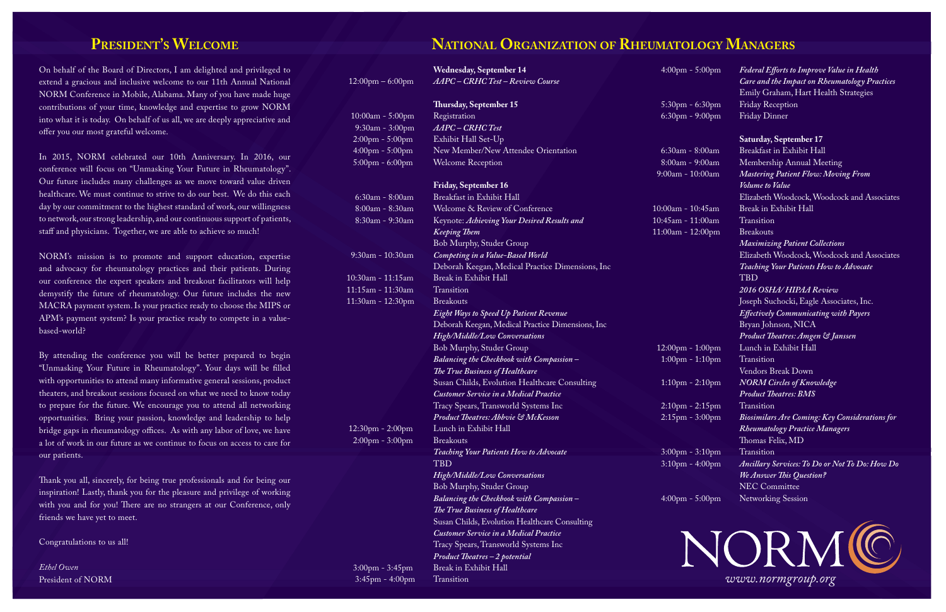On behalf of the Board of Directors, I am delighted and privileged to extend a gracious and inclusive welcome to our 11th Annual National NORM Conference in Mobile, Alabama. Many of you have made huge contributions of your time, knowledge and expertise to grow NORM into what it is today. On behalf of us all, we are deeply appreciative and offer you our most grateful welcome.

In 2015, NORM celebrated our 10th Anniversary. In 2016, our conference will focus on "Unmasking Your Future in Rheumatology". Our future includes many challenges as we move toward value driven healthcare. We must continue to strive to do our best. We do this each day by our commitment to the highest standard of work, our willingness to network, our strong leadership, and our continuous support of patients, staff and physicians. Together, we are able to achieve so much!

NORM's mission is to promote and support education, expertise and advocacy for rheumatology practices and their patients. During our conference the expert speakers and breakout facilitators will help demystify the future of rheumatology. Our future includes the new MACRA payment system. Is your practice ready to choose the MIPS or APM's payment system? Is your practice ready to compete in a valuebased-world?

By attending the conference you will be better prepared to begin "Unmasking Your Future in Rheumatology". Your days will be filled with opportunities to attend many informative general sessions, product theaters, and breakout sessions focused on what we need to know today to prepare for the future. We encourage you to attend all networking opportunities. Bring your passion, knowledge and leadership to help bridge gaps in rheumatology offices. As with any labor of love, we have a lot of work in our future as we continue to focus on access to care for our patients.

Thank you all, sincerely, for being true professionals and for being our inspiration! Lastly, thank you for the pleasure and privilege of working with you and for you! There are no strangers at our Conference, only friends we have yet to meet.

Congratulations to us all!

*Ethel Owen*  President of NORM

#### **PRESIDENT'S WELCOME NATIONAL ORGANIZATION OF RHEUMATOLOGY MANAGERS**

|                                    | <b>Wednesday, September 14</b>                    | $4:00 \text{pm} - 5:00 \text{pm}$  | Federal Efforts to Improve Value in Health            |
|------------------------------------|---------------------------------------------------|------------------------------------|-------------------------------------------------------|
| $12:00 \text{pm} - 6:00 \text{pm}$ | AAPC - CRHC Test - Review Course                  |                                    | Care and the Impact on Rheumatology Practices         |
|                                    |                                                   |                                    | Emily Graham, Hart Health Strategies                  |
|                                    | Thursday, September 15                            | $5:30$ pm - 6:30pm                 | Friday Reception                                      |
| 10:00am - 5:00pm                   | Registration                                      | $6:30$ pm - $9:00$ pm              | Friday Dinner                                         |
| 9:30am - 3:00pm                    | AAPC-CRHCTest                                     |                                    |                                                       |
| $2:00$ pm - $5:00$ pm              | Exhibit Hall Set-Up                               |                                    | <b>Saturday, September 17</b>                         |
| $4:00 \text{pm} - 5:00 \text{pm}$  | New Member/New Attendee Orientation               | 6:30am - 8:00am                    | Breakfast in Exhibit Hall                             |
| $5:00$ pm - $6:00$ pm              | <b>Welcome Reception</b>                          | 8:00am - 9:00am                    | Membership Annual Meeting                             |
|                                    |                                                   | 9:00am - 10:00am                   | <b>Mastering Patient Flow: Moving From</b>            |
|                                    | <b>Friday, September 16</b>                       |                                    | Volume to Value                                       |
| 6:30am - 8:00am                    | Breakfast in Exhibit Hall                         |                                    | Elizabeth Woodcock, Woodcock and Associates           |
| 8:00am - 8:30am                    | Welcome & Review of Conference                    | 10:00am - 10:45am                  | Break in Exhibit Hall                                 |
| 8:30am - 9:30am                    | Keynote: Achieving Your Desired Results and       | 10:45am - 11:00am                  | Transition                                            |
|                                    | <b>Keeping Them</b>                               | 11:00am - 12:00pm                  | <b>Breakouts</b>                                      |
|                                    | Bob Murphy, Studer Group                          |                                    | <b>Maximizing Patient Collections</b>                 |
| 9:30am - 10:30am                   | Competing in a Value-Based World                  |                                    | Elizabeth Woodcock, Woodcock and Associates           |
|                                    | Deborah Keegan, Medical Practice Dimensions, Inc. |                                    | Teaching Your Patients How to Advocate                |
| 10:30am - 11:15am                  | Break in Exhibit Hall                             |                                    | <b>TBD</b>                                            |
| 11:15am - 11:30am                  | Transition                                        |                                    | 2016 OSHA/HIPAA Review                                |
| 11:30am - 12:30pm                  | <b>Breakouts</b>                                  |                                    | Joseph Suchocki, Eagle Associates, Inc.               |
|                                    | <b>Eight Ways to Speed Up Patient Revenue</b>     |                                    | <b>Effectively Communicating with Payers</b>          |
|                                    | Deborah Keegan, Medical Practice Dimensions, Inc  |                                    | Bryan Johnson, NICA                                   |
|                                    | High/Middle/Low Conversations                     |                                    | Product Theatres: Amgen & Janssen                     |
|                                    | Bob Murphy, Studer Group                          | $12:00 \text{pm} - 1:00 \text{pm}$ | Lunch in Exhibit Hall                                 |
|                                    | Balancing the Checkbook with Compassion -         | $1:00 \text{pm} - 1:10 \text{pm}$  | Transition                                            |
|                                    | The True Business of Healthcare                   |                                    | Vendors Break Down                                    |
|                                    | Susan Childs, Evolution Healthcare Consulting     | $1:10$ pm - $2:10$ pm              | <b>NORM Circles of Knowledge</b>                      |
|                                    | Customer Service in a Medical Practice            |                                    | <b>Product Theatres: BMS</b>                          |
|                                    | Tracy Spears, Transworld Systems Inc              | $2:10$ pm - $2:15$ pm              | Transition                                            |
|                                    | Product Theatres: Abbvie & McKesson               | $2:15 \text{pm} - 3:00 \text{pm}$  | <b>Biosimilars Are Coming: Key Considerations for</b> |
| $12:30$ pm - $2:00$ pm             | Lunch in Exhibit Hall                             |                                    | <b>Rheumatology Practice Managers</b>                 |
| 2:00pm - 3:00pm                    | <b>Breakouts</b>                                  |                                    | Thomas Felix, MD                                      |
|                                    | Teaching Your Patients How to Advocate            | $3:00 \text{pm} - 3:10 \text{pm}$  | Transition                                            |
|                                    | <b>TBD</b>                                        | $3:10$ pm - $4:00$ pm              | Ancillary Services: To Do or Not To Do: How Do        |
|                                    | <b>High/Middle/Low Conversations</b>              |                                    | We Answer This Question?                              |
|                                    | Bob Murphy, Studer Group                          |                                    | NEC Committee                                         |
|                                    | Balancing the Checkbook with Compassion -         | $4:00 \text{pm} - 5:00 \text{pm}$  | <b>Networking Session</b>                             |
|                                    | The True Business of Healthcare                   |                                    |                                                       |
|                                    | Susan Childs, Evolution Healthcare Consulting     |                                    |                                                       |
|                                    | Customer Service in a Medical Practice            |                                    |                                                       |
|                                    | Tracy Spears, Transworld Systems Inc              |                                    |                                                       |
|                                    | Product Theatres - 2 potential                    |                                    | NORMIC                                                |
| $3:00$ pm - $3:45$ pm              | Break in Exhibit Hall                             |                                    |                                                       |
| $3:45$ pm - $4:00$ pm              | Transition                                        |                                    | www.normgroup.org                                     |